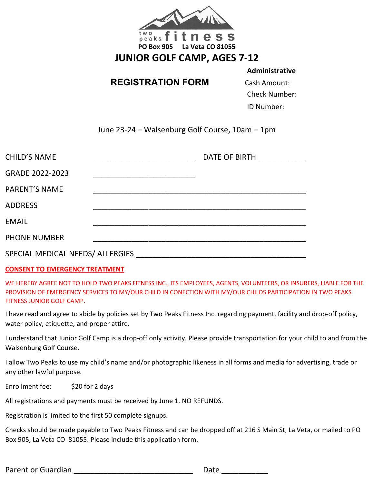

# **REGISTRATION FORM** Cash Amount:

**Administrative**

Check Number:

ID Number:

June 23-24 – Walsenburg Golf Course, 10am – 1pm

| <b>CHILD'S NAME</b>              |  | DATE OF BIRTH |  |  |
|----------------------------------|--|---------------|--|--|
| GRADE 2022-2023                  |  |               |  |  |
| <b>PARENT'S NAME</b>             |  |               |  |  |
| <b>ADDRESS</b>                   |  |               |  |  |
| <b>EMAIL</b>                     |  |               |  |  |
| <b>PHONE NUMBER</b>              |  |               |  |  |
| SPECIAL MEDICAL NEEDS/ ALLERGIES |  |               |  |  |

## **CONSENT TO EMERGENCY TREATMENT**

WE HEREBY AGREE NOT TO HOLD TWO PEAKS FITNESS INC., ITS EMPLOYEES, AGENTS, VOLUNTEERS, OR INSURERS, LIABLE FOR THE PROVISION OF EMERGENCY SERVICES TO MY/OUR CHILD IN CONECTION WITH MY/OUR CHILDS PARTICIPATION IN TWO PEAKS FITNESS JUNIOR GOLF CAMP.

I have read and agree to abide by policies set by Two Peaks Fitness Inc. regarding payment, facility and drop-off policy, water policy, etiquette, and proper attire.

I understand that Junior Golf Camp is a drop-off only activity. Please provide transportation for your child to and from the Walsenburg Golf Course.

I allow Two Peaks to use my child's name and/or photographic likeness in all forms and media for advertising, trade or any other lawful purpose.

Enrollment fee: \$20 for 2 days

All registrations and payments must be received by June 1. NO REFUNDS.

Registration is limited to the first 50 complete signups.

Checks should be made payable to Two Peaks Fitness and can be dropped off at 216 S Main St, La Veta, or mailed to PO Box 905, La Veta CO 81055. Please include this application form.

Parent or Guardian **Exercise 20** and 20 and 20 and 20 and 20 and 20 and 20 and 20 and 20 and 20 and 20 and 20 and